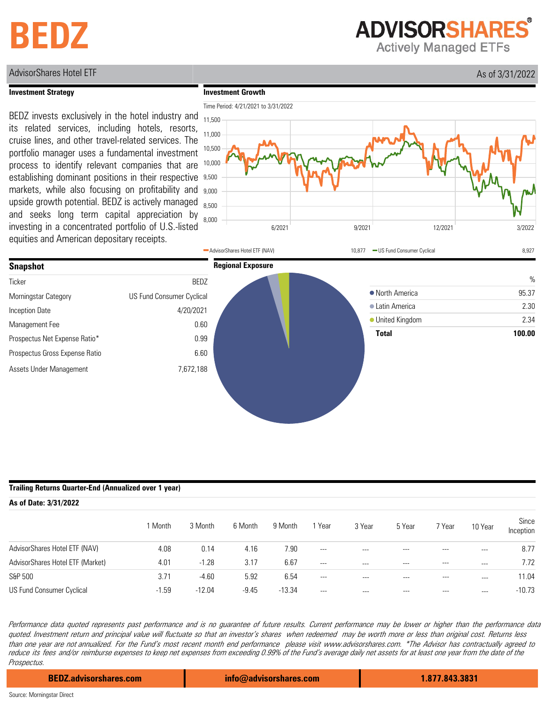## **BEDZ**

**ADVISORSHARES** 

**Actively Managed ETFs** 

### AdvisorShares Hotel ETF As of 3/31/2022

#### **Investment Strategy**

**Investment Growth**







### **Trailing Returns Quarter-End (Annualized over 1 year)**

| As of Date: 3/31/2022            |         |          |         |          |         |         |         |          |         |                    |  |
|----------------------------------|---------|----------|---------|----------|---------|---------|---------|----------|---------|--------------------|--|
|                                  | 1 Month | 3 Month  | 6 Month | 9 Month  | Year    | 3 Year  | 5 Year  | 7 Year   | 10 Year | Since<br>Inception |  |
| AdvisorShares Hotel ETF (NAV)    | 4.08    | 0.14     | 4.16    | 7.90     | $---$   | $- - -$ | ---     | $- - -$  | ---     | 8.77               |  |
| AdvisorShares Hotel ETF (Market) | 4.01    | $-1.28$  | 3.17    | 6.67     | $---$   | ---     | $---$   | $\cdots$ | $- - -$ | 7.72               |  |
| S&P 500                          | 3.71    | $-4.60$  | 5.92    | 6.54     | $---$   | $- - -$ | ---     | ---      | $---$   | 11.04              |  |
| US Fund Consumer Cyclical        | $-1.59$ | $-12.04$ | $-9.45$ | $-13.34$ | $- - -$ | $---$   | $- - -$ | ---      | $---$   | $-10.73$           |  |

Performance data quoted represents past performance and is no guarantee of future results. Current performance may be lower or higher than the performance data quoted. Investment return and principal value will fluctuate so that an investor's shares when redeemed may be worth more or less than original cost. Returns less than one year are not annualized. For the Fund's most recent month end performance please visit www.advisorshares.com. \*The Advisor has contractually agreed to reduce its fees and/or reimburse expenses to keep net expenses from exceeding 0.99% of the Fund's average daily net assets for at least one year from the date of the Prospectus.